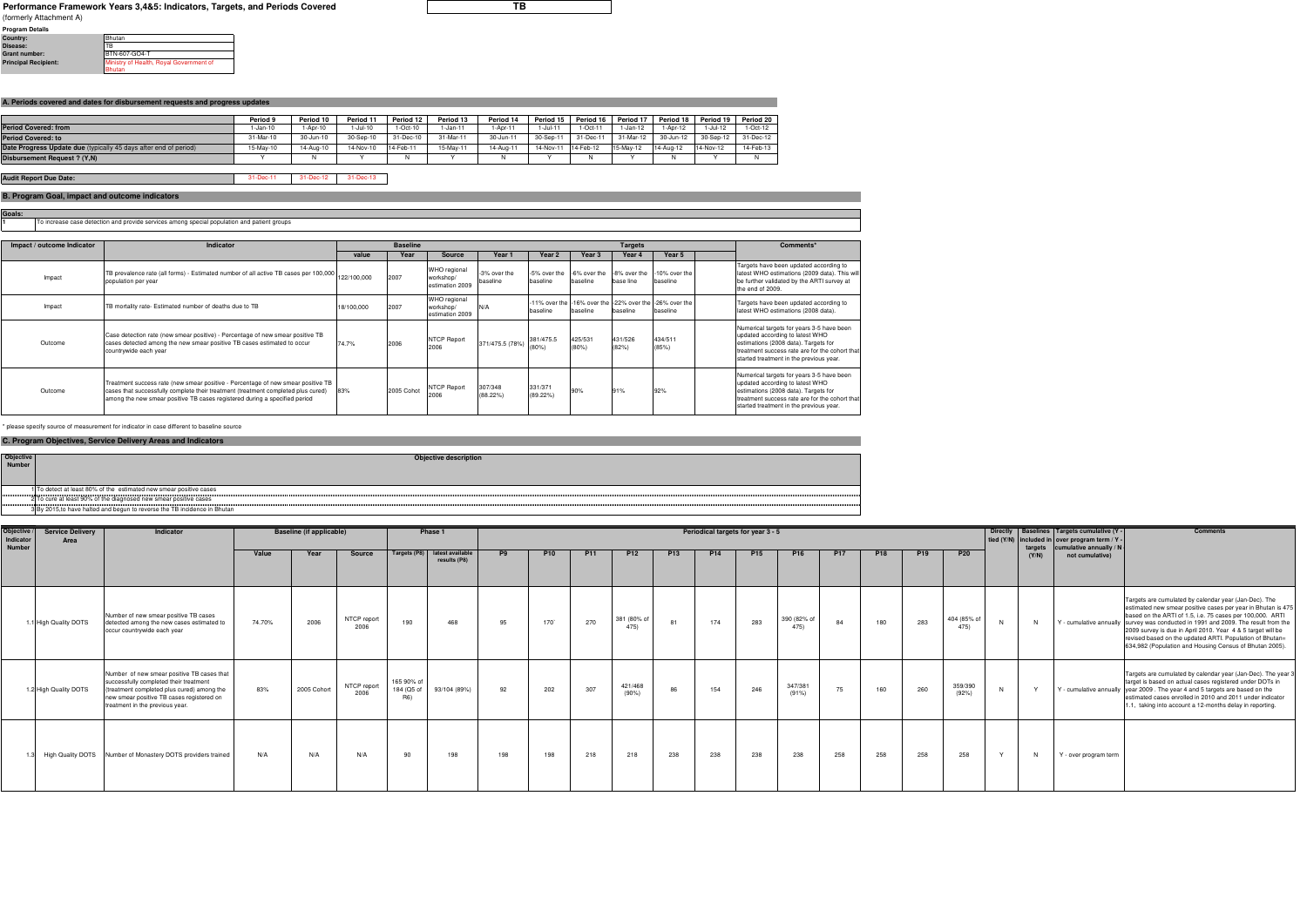## **Performance Framework Years 3,4&5: Indicators, Targets, and Periods Covered**

**Goals:**

| <b>Program Details</b>      |                                         |
|-----------------------------|-----------------------------------------|
| Country:                    | Bhutan                                  |
| Disease:                    | <b>TB</b>                               |
| <b>Grant number:</b>        | BTN-607-GO4-T                           |
| <b>Principal Recipient:</b> | Ministry of Health, Royal Government of |
|                             | <b>Bhutan</b>                           |

|                                                                  | Period 9  | Period 10 | Period 11 | Period 12 | Period 13 | Period 14 | Period 15 | Period 16 | Period 17 | Period 18 | Period 19 | Period 20 |
|------------------------------------------------------------------|-----------|-----------|-----------|-----------|-----------|-----------|-----------|-----------|-----------|-----------|-----------|-----------|
| Period Covered: from                                             | l-Jan-10  | -Apr-10   | I-Jul-10  | 1-Oct-10  | 1-Jan-11  | -Apr-11   | i-Jul-11  | 1-Oct-11  | 1-Jan-12  | 1-Apr-12  | -Jul-12   | 1-Oct-12  |
| Period Covered: to                                               | 31-Mar-10 | 30-Jun-10 | 30-Sep-10 | 31-Dec-10 | 31-Mar-11 | 30-Jun-11 | 30-Sep-11 | 31-Dec-11 | 31-Mar-12 | 30-Jun-12 | 30-Sep-12 | 31-Dec-12 |
| Date Progress Update due (typically 45 days after end of period) | 15-Mav-10 | 14-Aug-10 | 14-Nov-10 | 14-Feb-11 | 15-May-11 | 14-Aug-11 | 14-Nov-11 | 14-Feb-12 | 15-May-12 | 14-Aug-12 | 14-Nov-12 | 14-Feb-13 |
| Disbursement Request ? (Y,N)                                     |           |           |           |           |           |           |           |           |           |           |           |           |

| Objective<br>Number | Objective description                                                     |
|---------------------|---------------------------------------------------------------------------|
|                     |                                                                           |
|                     |                                                                           |
|                     |                                                                           |
|                     | 1 To detect at least 80% of the estimated new smear positive cases        |
|                     | 2 To cure at least 90% of the diagnosed new smear positive cases          |
|                     | 3 By 2015, to have halted and begun to reverse the TB incidence in Bhutan |
|                     |                                                                           |

31-Dec-11 31-Dec-12 31-Dec-13 **Audit Report Due Date:**

**1**To increase case detection and provide services among special population and patient groups

| Objective<br>Indicator<br><b>Number</b> | <b>Service Delivery</b><br>Area | Indicator                                                                                                                                                                                                          |        | <b>Baseline (if applicable)</b> |                     |                                              | Phase 1                          |                | Periodical targets for year 3 - 5 |                 |                     |                 |                 |            |                    | targets    | Directly   Baselines   Targets cumulative (Y -<br>tied (Y/N) included in over program term / Y -<br>cumulative annually / N | <b>Comments</b> |                    |       |                       |                                                                                                                                                                                                                                                                                                                                                                                                                                                                |
|-----------------------------------------|---------------------------------|--------------------------------------------------------------------------------------------------------------------------------------------------------------------------------------------------------------------|--------|---------------------------------|---------------------|----------------------------------------------|----------------------------------|----------------|-----------------------------------|-----------------|---------------------|-----------------|-----------------|------------|--------------------|------------|-----------------------------------------------------------------------------------------------------------------------------|-----------------|--------------------|-------|-----------------------|----------------------------------------------------------------------------------------------------------------------------------------------------------------------------------------------------------------------------------------------------------------------------------------------------------------------------------------------------------------------------------------------------------------------------------------------------------------|
|                                         |                                 |                                                                                                                                                                                                                    | Value  | Year                            | Source              | Targets (P8)                                 | latest available<br>results (P8) | P <sub>9</sub> | <b>P10</b>                        | P <sub>11</sub> | <b>P12</b>          | P <sub>13</sub> | P <sub>14</sub> | <b>P15</b> | <b>P16</b>         | <b>P17</b> | <b>P18</b>                                                                                                                  | P <sub>19</sub> | <b>P20</b>         | (Y/N) | not cumulative)       |                                                                                                                                                                                                                                                                                                                                                                                                                                                                |
|                                         | 1.1 High Quality DOTS           | Number of new smear positive TB cases<br>detected among the new cases estimated to<br>occur countrywide each year                                                                                                  | 74.70% | 2006                            | NTCP report<br>2006 | 190                                          | 468                              | 95             | $170^\circ$                       | 270             | 381 (80% of<br>475) | 81              | 174             | 283        | 390 (82% o<br>475) | 84         | 180                                                                                                                         | 283             | 404 (85% o<br>475) | N     |                       | Targets are cumulated by calendar year (Jan-Dec). The<br>estimated new smear positive cases per year in Bhutan is 475<br>based on the ARTI of 1.5, i.e. 75 cases per 100,000. ARTI<br>Y - cumulative annually survey was conducted in 1991 and 2009. The result from the<br>2009 survey is due in April 2010. Year 4 & 5 target will be<br>revised based on the updated ARTI. Population of Bhutan=<br>634,982 (Population and Housing Census of Bhutan 2005). |
|                                         | 1.2 High Quality DOTS           | Number of new smear positive TB cases that<br>successfully completed their treatment<br>(treatment completed plus cured) among the<br>new smear positive TB cases registered on<br>treatment in the previous year. | 83%    | 2005 Cohort                     | NTCP report<br>2006 | 165 90% of<br>184 (Q5 of<br>R <sub>6</sub> ) | 93/104 (89%)                     | 92             | 202                               | 307             | 421/468<br>$(90\%)$ | 86              | 154             | 246        | 347/38<br>(91%)    | 75         | 160                                                                                                                         | 260             | 359/390<br>(92%)   |       |                       | Targets are cumulated by calendar year (Jan-Dec). The year :<br>target is based on actual cases registered under DOTs in<br>Y - cumulative annually vear 2009 . The year 4 and 5 targets are based on the<br>estimated cases enrolled in 2010 and 2011 under indicator<br>1.1, taking into account a 12-months delay in reporting.                                                                                                                             |
|                                         |                                 | High Quality DOTS Number of Monastery DOTS providers trained                                                                                                                                                       | N/A    | N/A                             | N/A                 | 90                                           | 198                              | 198            | 198                               | 218             | 218                 | 238             | 238             | 238        | 238                | 258        | 258                                                                                                                         | 258             | 258                | N     | Y - over program term |                                                                                                                                                                                                                                                                                                                                                                                                                                                                |

**TB**

| Impact / outcome Indicator | Indicator                                                                                                                                                                                                                                           |            | <b>Baseline</b> |                                                     |                          |                        |                                                     | <b>Targets</b>   | Comments*                                                           |  |                                                                                                                                                                                                                   |
|----------------------------|-----------------------------------------------------------------------------------------------------------------------------------------------------------------------------------------------------------------------------------------------------|------------|-----------------|-----------------------------------------------------|--------------------------|------------------------|-----------------------------------------------------|------------------|---------------------------------------------------------------------|--|-------------------------------------------------------------------------------------------------------------------------------------------------------------------------------------------------------------------|
|                            |                                                                                                                                                                                                                                                     | value      | Year            | Source                                              | Year 1                   | Year 2                 | Year 3                                              | Year 4           | Year 5                                                              |  |                                                                                                                                                                                                                   |
| Impact                     | TB prevalence rate (all forms) - Estimated number of all active TB cases per 100,000 122/100,000<br>population per year                                                                                                                             |            | 2007            | WHO regional<br>workshop/<br>estimation 2009        | -3% over the<br>baseline | baseline               | -5% over the -6% over the 1-8% over the<br>baseline | base line        | -10% over the<br>baseline                                           |  | Targets have been updated according to<br>latest WHO estimations (2009 data). This will<br>be further validated by the ARTI survey at<br>the end of 2009.                                                         |
| Impact                     | TB mortality rate- Estimated number of deaths due to TB                                                                                                                                                                                             | 18/100,000 | 2007            | <b>WHO</b> regional<br>workshop/<br>estimation 2009 | N/A                      | baseline               | baseline                                            | baseline         | -11% over the -16% over the -22% over the -26% over the<br>baseline |  | Targets have been updated according to<br>latest WHO estimations (2008 data).                                                                                                                                     |
| Outcome                    | Case detection rate (new smear positive) - Percentage of new smear positive TB<br>cases detected among the new smear positive TB cases estimated to occur<br>countrywide each year                                                                  | 74.7%      | 2006            | <b>NTCP Report</b><br>2006                          | 371/475.5 (78%)          | 381/475.5              | 425/531<br>(80%)                                    | 431/526<br>(82%) | 434/511<br>(85%)                                                    |  | Numerical targets for years 3-5 have been<br>updated according to latest WHO<br>estimations (2008 data). Targets for<br>treatment success rate are for the cohort that<br>started treatment in the previous year. |
| Outcome                    | Treatment success rate (new smear positive - Percentage of new smear positive TB<br>cases that successfully complete their treatment (treatment completed plus cured)<br>among the new smear positive TB cases registered during a specified period | 83%        | 2005 Cohot      | <b>NTCP Report</b><br>2006                          | 307/348<br>(88.22%)      | 331/371<br>$(89.22\%)$ | 90%                                                 | 91%              | 92%                                                                 |  | Numerical targets for years 3-5 have been<br>updated according to latest WHO<br>estimations (2008 data). Targets for<br>treatment success rate are for the cohort that<br>started treatment in the previous year. |

\* please specify source of measurement for indicator in case different to baseline source

## **B. Program Goal, impact and outcome indicators**

## **C. Program Objectives, Service Delivery Areas and Indicators**

(formerly Attachment A)

## **A. Periods covered and dates for disbursement requests and progress updates**